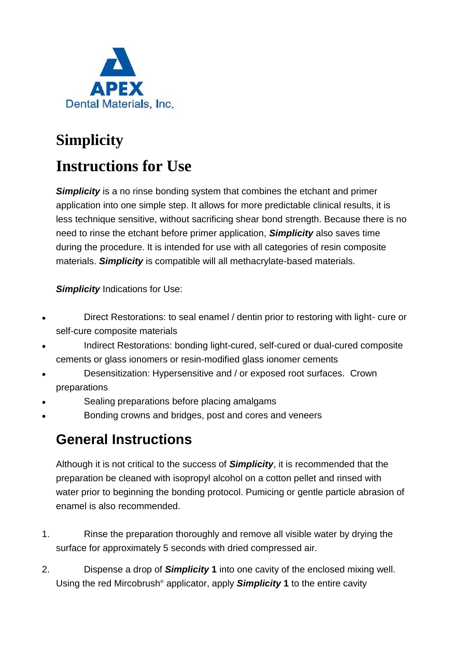

## **Simplicity**

## **Instructions for Use**

**Simplicity** is a no rinse bonding system that combines the etchant and primer application into one simple step. It allows for more predictable clinical results, it is less technique sensitive, without sacrificing shear bond strength. Because there is no need to rinse the etchant before primer application, *Simplicity* also saves time during the procedure. It is intended for use with all categories of resin composite materials. *Simplicity* is compatible will all methacrylate-based materials.

**Simplicity** Indications for Use:

- Direct Restorations: to seal enamel / dentin prior to restoring with light- cure or self-cure composite materials
- Indirect Restorations: bonding light-cured, self-cured or dual-cured composite cements or glass ionomers or resin-modified glass ionomer cements
- Desensitization: Hypersensitive and / or exposed root surfaces. Crown preparations
- Sealing preparations before placing amalgams
- Bonding crowns and bridges, post and cores and veneers

### **General Instructions**

Although it is not critical to the success of *Simplicity*, it is recommended that the preparation be cleaned with isopropyl alcohol on a cotton pellet and rinsed with water prior to beginning the bonding protocol. Pumicing or gentle particle abrasion of enamel is also recommended.

- 1. Rinse the preparation thoroughly and remove all visible water by drying the surface for approximately 5 seconds with dried compressed air.
- 2. Dispense a drop of *Simplicity* **1** into one cavity of the enclosed mixing well. Using the red Mircobrush® applicator, apply *Simplicity* **1** to the entire cavity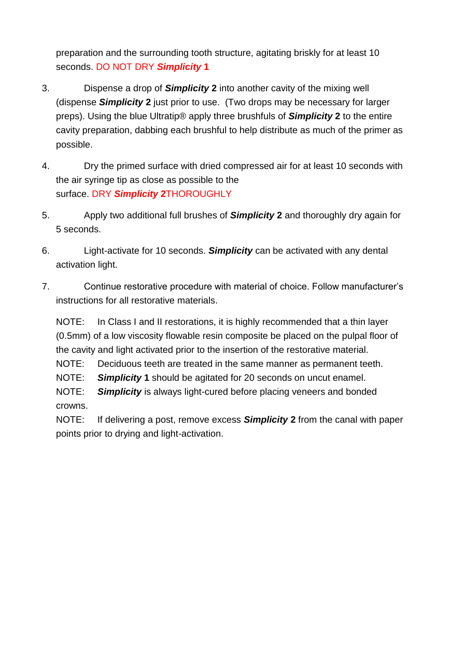preparation and the surrounding tooth structure, agitating briskly for at least 10 seconds. DO NOT DRY *Simplicity* **1**

- 3. Dispense a drop of *Simplicity* **2** into another cavity of the mixing well (dispense *Simplicity* **2** just prior to use. (Two drops may be necessary for larger preps). Using the blue Ultratip® apply three brushfuls of *Simplicity* **2** to the entire cavity preparation, dabbing each brushful to help distribute as much of the primer as possible.
- 4. Dry the primed surface with dried compressed air for at least 10 seconds with the air syringe tip as close as possible to the surface. DRY *Simplicity* **2**THOROUGHLY
- 5. Apply two additional full brushes of *Simplicity* **2** and thoroughly dry again for 5 seconds.
- 6. Light-activate for 10 seconds. *Simplicity* can be activated with any dental activation light.
- 7. Continue restorative procedure with material of choice. Follow manufacturer's instructions for all restorative materials.

NOTE: In Class I and II restorations, it is highly recommended that a thin layer (0.5mm) of a low viscosity flowable resin composite be placed on the pulpal floor of the cavity and light activated prior to the insertion of the restorative material.

NOTE: Deciduous teeth are treated in the same manner as permanent teeth.

NOTE: *Simplicity* **1** should be agitated for 20 seconds on uncut enamel.

NOTE: *Simplicity* is always light-cured before placing veneers and bonded crowns.

NOTE: If delivering a post, remove excess *Simplicity* **2** from the canal with paper points prior to drying and light-activation.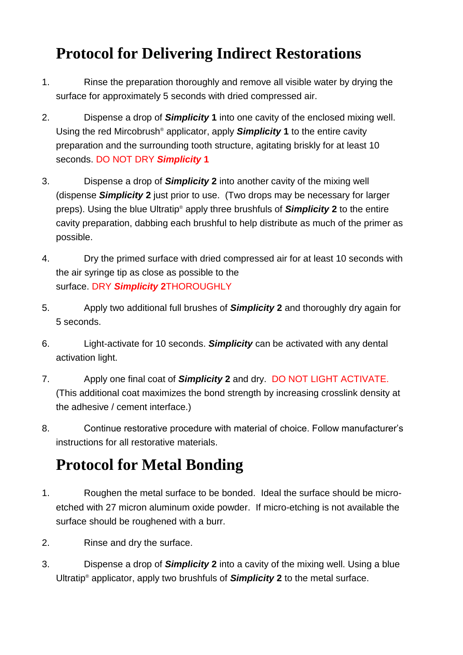## **Protocol for Delivering Indirect Restorations**

- 1. Rinse the preparation thoroughly and remove all visible water by drying the surface for approximately 5 seconds with dried compressed air.
- 2. Dispense a drop of *Simplicity* **1** into one cavity of the enclosed mixing well. Using the red Mircobrush® applicator, apply *Simplicity* **1** to the entire cavity preparation and the surrounding tooth structure, agitating briskly for at least 10 seconds. DO NOT DRY *Simplicity* **1**
- 3. Dispense a drop of *Simplicity* **2** into another cavity of the mixing well (dispense *Simplicity* **2** just prior to use. (Two drops may be necessary for larger preps). Using the blue Ultratip® apply three brushfuls of *Simplicity* **2** to the entire cavity preparation, dabbing each brushful to help distribute as much of the primer as possible.
- 4. Dry the primed surface with dried compressed air for at least 10 seconds with the air syringe tip as close as possible to the surface. DRY *Simplicity* **2**THOROUGHLY
- 5. Apply two additional full brushes of *Simplicity* **2** and thoroughly dry again for 5 seconds.
- 6. Light-activate for 10 seconds. *Simplicity* can be activated with any dental activation light.
- 7. Apply one final coat of *Simplicity* **2** and dry. DO NOT LIGHT ACTIVATE. (This additional coat maximizes the bond strength by increasing crosslink density at the adhesive / cement interface.)
- 8. Continue restorative procedure with material of choice. Follow manufacturer's instructions for all restorative materials.

# **Protocol for Metal Bonding**

- 1. Roughen the metal surface to be bonded. Ideal the surface should be microetched with 27 micron aluminum oxide powder. If micro-etching is not available the surface should be roughened with a burr.
- 2. Rinse and dry the surface.
- 3. Dispense a drop of *Simplicity* **2** into a cavity of the mixing well. Using a blue Ultratip® applicator, apply two brushfuls of *Simplicity* **2** to the metal surface.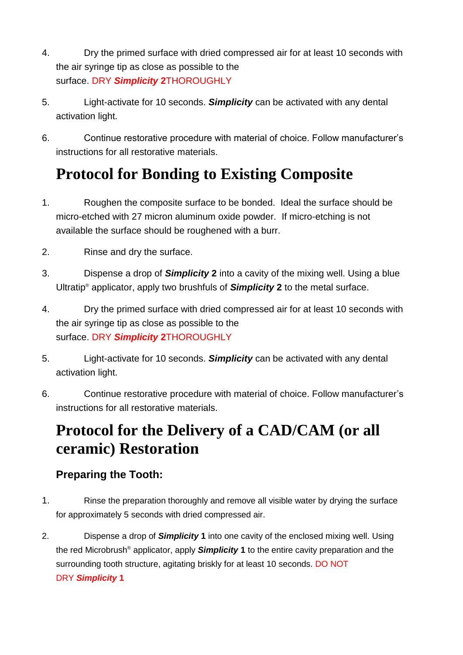- 4. Dry the primed surface with dried compressed air for at least 10 seconds with the air syringe tip as close as possible to the surface. DRY *Simplicity* **2**THOROUGHLY
- 5. Light-activate for 10 seconds. *Simplicity* can be activated with any dental activation light.
- 6. Continue restorative procedure with material of choice. Follow manufacturer's instructions for all restorative materials.

# **Protocol for Bonding to Existing Composite**

- 1. Roughen the composite surface to be bonded. Ideal the surface should be micro-etched with 27 micron aluminum oxide powder. If micro-etching is not available the surface should be roughened with a burr.
- 2. Rinse and dry the surface.
- 3. Dispense a drop of *Simplicity* **2** into a cavity of the mixing well. Using a blue Ultratip® applicator, apply two brushfuls of *Simplicity* **2** to the metal surface.
- 4. Dry the primed surface with dried compressed air for at least 10 seconds with the air syringe tip as close as possible to the surface. DRY *Simplicity* **2**THOROUGHLY
- 5. Light-activate for 10 seconds. *Simplicity* can be activated with any dental activation light.
- 6. Continue restorative procedure with material of choice. Follow manufacturer's instructions for all restorative materials.

### **Protocol for the Delivery of a CAD/CAM (or all ceramic) Restoration**

#### **Preparing the Tooth:**

- 1. Rinse the preparation thoroughly and remove all visible water by drying the surface for approximately 5 seconds with dried compressed air.
- 2. Dispense a drop of *Simplicity* **1** into one cavity of the enclosed mixing well. Using the red Microbrush® applicator, apply *Simplicity* **1** to the entire cavity preparation and the surrounding tooth structure, agitating briskly for at least 10 seconds. DO NOT DRY *Simplicity* **1**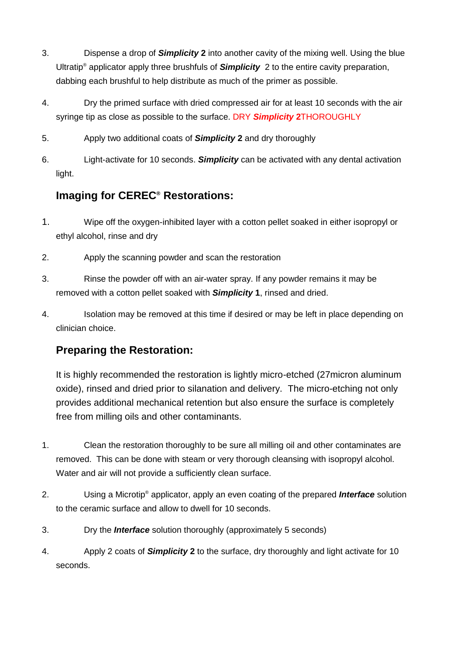- 3. Dispense a drop of *Simplicity* **2** into another cavity of the mixing well. Using the blue Ultratip® applicator apply three brushfuls of *Simplicity* 2 to the entire cavity preparation, dabbing each brushful to help distribute as much of the primer as possible.
- 4. Dry the primed surface with dried compressed air for at least 10 seconds with the air syringe tip as close as possible to the surface. DRY *Simplicity* **2**THOROUGHLY
- 5. Apply two additional coats of *Simplicity* **2** and dry thoroughly
- 6. Light-activate for 10 seconds. *Simplicity* can be activated with any dental activation light.

### **Imaging for CEREC® Restorations:**

- 1. Wipe off the oxygen-inhibited layer with a cotton pellet soaked in either isopropyl or ethyl alcohol, rinse and dry
- 2. Apply the scanning powder and scan the restoration
- 3. Rinse the powder off with an air-water spray. If any powder remains it may be removed with a cotton pellet soaked with *Simplicity* **1**, rinsed and dried.
- 4. Isolation may be removed at this time if desired or may be left in place depending on clinician choice.

### **Preparing the Restoration:**

It is highly recommended the restoration is lightly micro-etched (27micron aluminum oxide), rinsed and dried prior to silanation and delivery. The micro-etching not only provides additional mechanical retention but also ensure the surface is completely free from milling oils and other contaminants.

- 1. Clean the restoration thoroughly to be sure all milling oil and other contaminates are removed. This can be done with steam or very thorough cleansing with isopropyl alcohol. Water and air will not provide a sufficiently clean surface.
- 2. Using a Microtip® applicator, apply an even coating of the prepared *Interface* solution to the ceramic surface and allow to dwell for 10 seconds.
- 3. Dry the *Interface* solution thoroughly (approximately 5 seconds)
- 4. Apply 2 coats of *Simplicity* **2** to the surface, dry thoroughly and light activate for 10 seconds.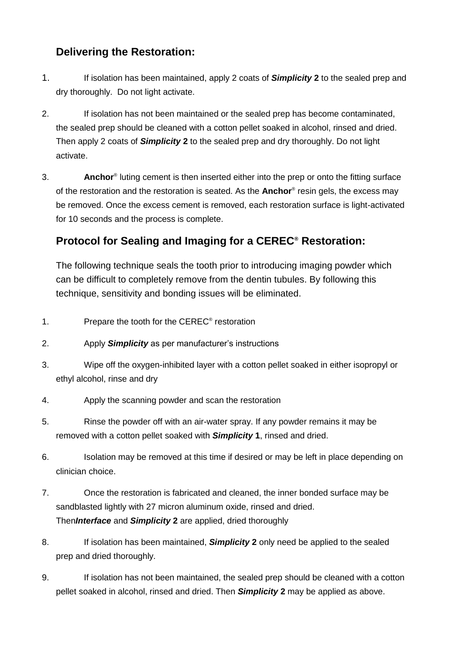#### **Delivering the Restoration:**

- 1. If isolation has been maintained, apply 2 coats of *Simplicity* **2** to the sealed prep and dry thoroughly. Do not light activate.
- 2. If isolation has not been maintained or the sealed prep has become contaminated, the sealed prep should be cleaned with a cotton pellet soaked in alcohol, rinsed and dried. Then apply 2 coats of *Simplicity* **2** to the sealed prep and dry thoroughly. Do not light activate.
- 3. **Anchor**® luting cement is then inserted either into the prep or onto the fitting surface of the restoration and the restoration is seated. As the **Anchor**® resin gels, the excess may be removed. Once the excess cement is removed, each restoration surface is light-activated for 10 seconds and the process is complete.

#### **Protocol for Sealing and Imaging for a CEREC® Restoration:**

The following technique seals the tooth prior to introducing imaging powder which can be difficult to completely remove from the dentin tubules. By following this technique, sensitivity and bonding issues will be eliminated.

- 1. Prepare the tooth for the CEREC® restoration
- 2. Apply *Simplicity* as per manufacturer's instructions
- 3. Wipe off the oxygen-inhibited layer with a cotton pellet soaked in either isopropyl or ethyl alcohol, rinse and dry
- 4. Apply the scanning powder and scan the restoration
- 5. Rinse the powder off with an air-water spray. If any powder remains it may be removed with a cotton pellet soaked with *Simplicity* **1**, rinsed and dried.
- 6. Isolation may be removed at this time if desired or may be left in place depending on clinician choice.
- 7. Once the restoration is fabricated and cleaned, the inner bonded surface may be sandblasted lightly with 27 micron aluminum oxide, rinsed and dried. Then*Interface* and *Simplicity* **2** are applied, dried thoroughly
- 8. If isolation has been maintained, *Simplicity* **2** only need be applied to the sealed prep and dried thoroughly.
- 9. If isolation has not been maintained, the sealed prep should be cleaned with a cotton pellet soaked in alcohol, rinsed and dried. Then *Simplicity* **2** may be applied as above.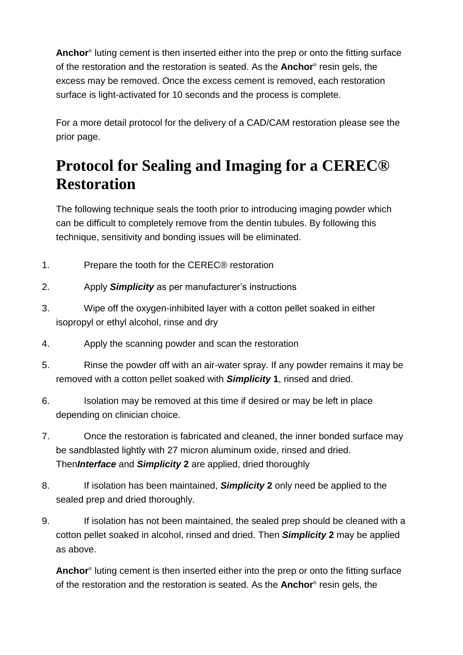**Anchor**® luting cement is then inserted either into the prep or onto the fitting surface of the restoration and the restoration is seated. As the **Anchor**® resin gels, the excess may be removed. Once the excess cement is removed, each restoration surface is light-activated for 10 seconds and the process is complete.

For a more detail protocol for the delivery of a CAD/CAM restoration please see the prior page.

## **Protocol for Sealing and Imaging for a CEREC® Restoration**

The following technique seals the tooth prior to introducing imaging powder which can be difficult to completely remove from the dentin tubules. By following this technique, sensitivity and bonding issues will be eliminated.

- 1. Prepare the tooth for the CEREC® restoration
- 2. Apply *Simplicity* as per manufacturer's instructions
- 3. Wipe off the oxygen-inhibited layer with a cotton pellet soaked in either isopropyl or ethyl alcohol, rinse and dry
- 4. Apply the scanning powder and scan the restoration
- 5. Rinse the powder off with an air-water spray. If any powder remains it may be removed with a cotton pellet soaked with *Simplicity* **1**, rinsed and dried.
- 6. Isolation may be removed at this time if desired or may be left in place depending on clinician choice.
- 7. Once the restoration is fabricated and cleaned, the inner bonded surface may be sandblasted lightly with 27 micron aluminum oxide, rinsed and dried. Then*Interface* and *Simplicity* **2** are applied, dried thoroughly
- 8. If isolation has been maintained, *Simplicity* **2** only need be applied to the sealed prep and dried thoroughly.
- 9. If isolation has not been maintained, the sealed prep should be cleaned with a cotton pellet soaked in alcohol, rinsed and dried. Then *Simplicity* **2** may be applied as above.

**Anchor**® luting cement is then inserted either into the prep or onto the fitting surface of the restoration and the restoration is seated. As the **Anchor**® resin gels, the